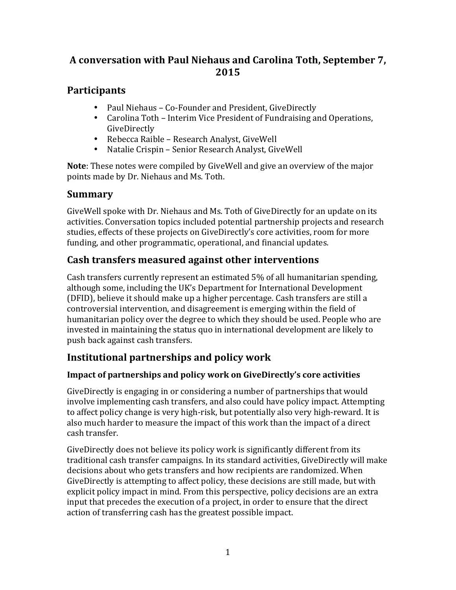# A conversation with Paul Niehaus and Carolina Toth, September 7, **2015**

# **Participants**

- Paul Niehaus Co-Founder and President, GiveDirectly
- Carolina Toth Interim Vice President of Fundraising and Operations, GiveDirectly
- Rebecca Raible Research Analyst, GiveWell
- Natalie Crispin Senior Research Analyst, GiveWell

**Note**: These notes were compiled by GiveWell and give an overview of the major points made by Dr. Niehaus and Ms. Toth.

# **Summary**

GiveWell spoke with Dr. Niehaus and Ms. Toth of GiveDirectly for an update on its activities. Conversation topics included potential partnership projects and research studies, effects of these projects on GiveDirectly's core activities, room for more funding, and other programmatic, operational, and financial updates.

# **Cash transfers measured against other interventions**

Cash transfers currently represent an estimated 5% of all humanitarian spending, although some, including the UK's Department for International Development (DFID), believe it should make up a higher percentage. Cash transfers are still a controversial intervention, and disagreement is emerging within the field of humanitarian policy over the degree to which they should be used. People who are invested in maintaining the status quo in international development are likely to push back against cash transfers.

# **Institutional partnerships and policy work**

# **Impact of partnerships and policy work on GiveDirectly's core activities**

GiveDirectly is engaging in or considering a number of partnerships that would involve implementing cash transfers, and also could have policy impact. Attempting to affect policy change is very high-risk, but potentially also very high-reward. It is also much harder to measure the impact of this work than the impact of a direct cash transfer. 

GiveDirectly does not believe its policy work is significantly different from its traditional cash transfer campaigns. In its standard activities, GiveDirectly will make decisions about who gets transfers and how recipients are randomized. When GiveDirectly is attempting to affect policy, these decisions are still made, but with explicit policy impact in mind. From this perspective, policy decisions are an extra input that precedes the execution of a project, in order to ensure that the direct action of transferring cash has the greatest possible impact.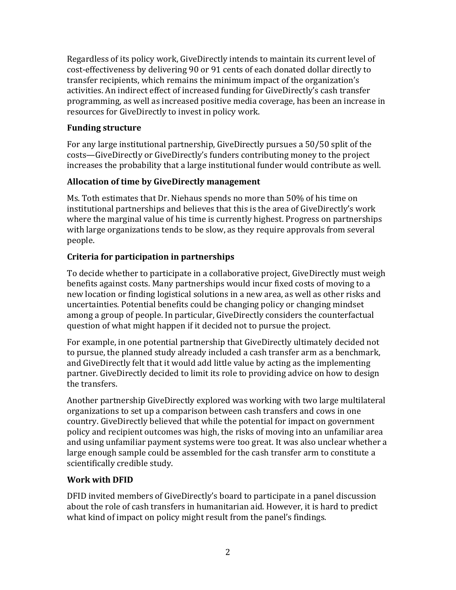Regardless of its policy work, GiveDirectly intends to maintain its current level of cost-effectiveness by delivering 90 or 91 cents of each donated dollar directly to transfer recipients, which remains the minimum impact of the organization's activities. An indirect effect of increased funding for GiveDirectly's cash transfer programming, as well as increased positive media coverage, has been an increase in resources for GiveDirectly to invest in policy work.

#### **Funding structure**

For any large institutional partnership, GiveDirectly pursues a 50/50 split of the costs—GiveDirectly or GiveDirectly's funders contributing money to the project increases the probability that a large institutional funder would contribute as well.

#### **Allocation of time by GiveDirectly management**

Ms. Toth estimates that Dr. Niehaus spends no more than 50% of his time on institutional partnerships and believes that this is the area of GiveDirectly's work where the marginal value of his time is currently highest. Progress on partnerships with large organizations tends to be slow, as they require approvals from several people.

### **Criteria for participation in partnerships**

To decide whether to participate in a collaborative project, GiveDirectly must weigh benefits against costs. Many partnerships would incur fixed costs of moving to a new location or finding logistical solutions in a new area, as well as other risks and uncertainties. Potential benefits could be changing policy or changing mindset among a group of people. In particular, GiveDirectly considers the counterfactual question of what might happen if it decided not to pursue the project.

For example, in one potential partnership that GiveDirectly ultimately decided not to pursue, the planned study already included a cash transfer arm as a benchmark, and GiveDirectly felt that it would add little value by acting as the implementing partner. GiveDirectly decided to limit its role to providing advice on how to design the transfers.

Another partnership GiveDirectly explored was working with two large multilateral organizations to set up a comparison between cash transfers and cows in one country. GiveDirectly believed that while the potential for impact on government policy and recipient outcomes was high, the risks of moving into an unfamiliar area and using unfamiliar payment systems were too great. It was also unclear whether a large enough sample could be assembled for the cash transfer arm to constitute a scientifically credible study.

#### **Work with DFID**

DFID invited members of GiveDirectly's board to participate in a panel discussion about the role of cash transfers in humanitarian aid. However, it is hard to predict what kind of impact on policy might result from the panel's findings.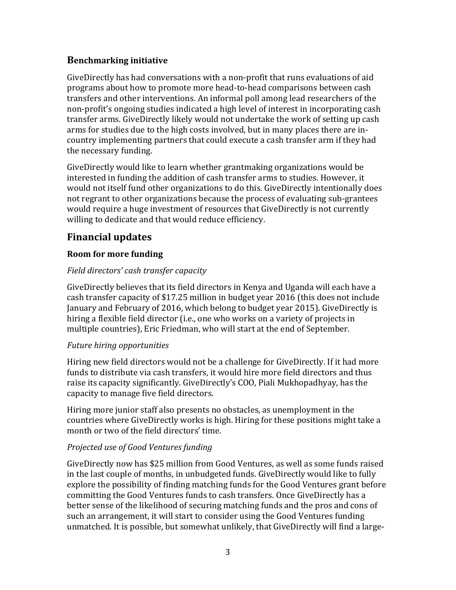### **Benchmarking initiative**

GiveDirectly has had conversations with a non-profit that runs evaluations of aid programs about how to promote more head-to-head comparisons between cash transfers and other interventions. An informal poll among lead researchers of the non-profit's ongoing studies indicated a high level of interest in incorporating cash transfer arms. GiveDirectly likely would not undertake the work of setting up cash arms for studies due to the high costs involved, but in many places there are incountry implementing partners that could execute a cash transfer arm if they had the necessary funding.

GiveDirectly would like to learn whether grantmaking organizations would be interested in funding the addition of cash transfer arms to studies. However, it would not itself fund other organizations to do this. GiveDirectly intentionally does not regrant to other organizations because the process of evaluating sub-grantees would require a huge investment of resources that GiveDirectly is not currently willing to dedicate and that would reduce efficiency.

# **Financial updates**

#### **Room for more funding**

#### *Field directors' cash transfer capacity*

GiveDirectly believes that its field directors in Kenya and Uganda will each have a cash transfer capacity of \$17.25 million in budget year 2016 (this does not include January and February of 2016, which belong to budget year 2015). GiveDirectly is hiring a flexible field director (i.e., one who works on a variety of projects in multiple countries), Eric Friedman, who will start at the end of September.

#### *Future hiring opportunities*

Hiring new field directors would not be a challenge for GiveDirectly. If it had more funds to distribute via cash transfers, it would hire more field directors and thus raise its capacity significantly. GiveDirectly's COO, Piali Mukhopadhyay, has the capacity to manage five field directors.

Hiring more junior staff also presents no obstacles, as unemployment in the countries where GiveDirectly works is high. Hiring for these positions might take a month or two of the field directors' time.

#### *Projected use of Good Ventures funding*

GiveDirectly now has \$25 million from Good Ventures, as well as some funds raised in the last couple of months, in unbudgeted funds. GiveDirectly would like to fully explore the possibility of finding matching funds for the Good Ventures grant before committing the Good Ventures funds to cash transfers. Once GiveDirectly has a better sense of the likelihood of securing matching funds and the pros and cons of such an arrangement, it will start to consider using the Good Ventures funding unmatched. It is possible, but somewhat unlikely, that GiveDirectly will find a large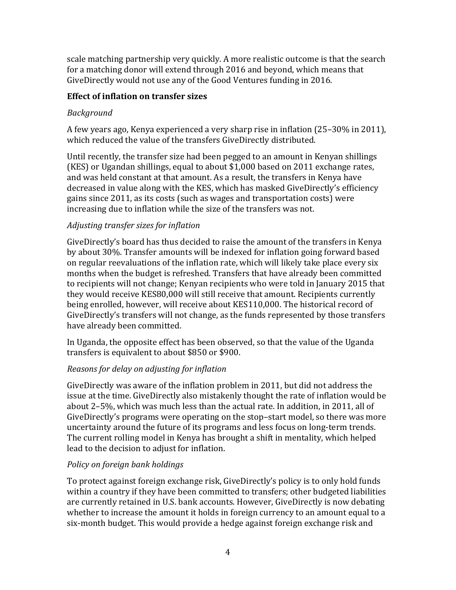scale matching partnership very quickly. A more realistic outcome is that the search for a matching donor will extend through 2016 and beyond, which means that GiveDirectly would not use any of the Good Ventures funding in 2016.

#### **Effect of inflation on transfer sizes**

#### *Background*

A few years ago, Kenya experienced a very sharp rise in inflation  $(25-30\%$  in 2011), which reduced the value of the transfers GiveDirectly distributed.

Until recently, the transfer size had been pegged to an amount in Kenyan shillings (KES) or Ugandan shillings, equal to about  $$1,000$  based on 2011 exchange rates, and was held constant at that amount. As a result, the transfers in Kenya have decreased in value along with the KES, which has masked GiveDirectly's efficiency gains since 2011, as its costs (such as wages and transportation costs) were increasing due to inflation while the size of the transfers was not.

### *Adjusting transfer sizes for inflation*

GiveDirectly's board has thus decided to raise the amount of the transfers in Kenya by about 30%. Transfer amounts will be indexed for inflation going forward based on regular reevaluations of the inflation rate, which will likely take place every six months when the budget is refreshed. Transfers that have already been committed to recipients will not change; Kenyan recipients who were told in January 2015 that they would receive KES80,000 will still receive that amount. Recipients currently being enrolled, however, will receive about KES110,000. The historical record of GiveDirectly's transfers will not change, as the funds represented by those transfers have already been committed.

In Uganda, the opposite effect has been observed, so that the value of the Uganda transfers is equivalent to about \$850 or \$900.

# *Reasons for delay on adjusting for inflation*

GiveDirectly was aware of the inflation problem in 2011, but did not address the issue at the time. GiveDirectly also mistakenly thought the rate of inflation would be about  $2-5\%$ , which was much less than the actual rate. In addition, in 2011, all of GiveDirectly's programs were operating on the stop–start model, so there was more uncertainty around the future of its programs and less focus on long-term trends. The current rolling model in Kenya has brought a shift in mentality, which helped lead to the decision to adjust for inflation.

# *Policy on foreign bank holdings*

To protect against foreign exchange risk, GiveDirectly's policy is to only hold funds within a country if they have been committed to transfers; other budgeted liabilities are currently retained in U.S. bank accounts. However, GiveDirectly is now debating whether to increase the amount it holds in foreign currency to an amount equal to a six-month budget. This would provide a hedge against foreign exchange risk and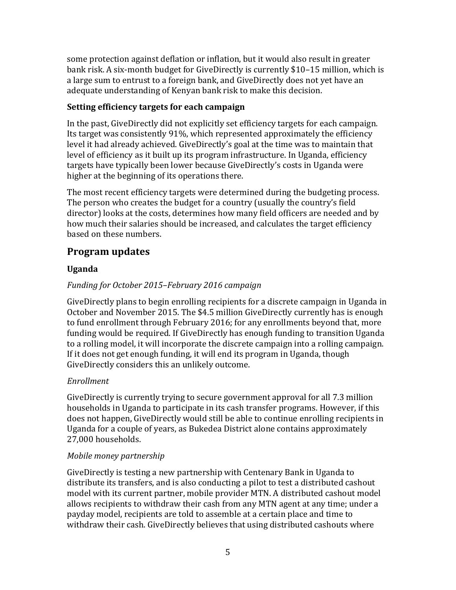some protection against deflation or inflation, but it would also result in greater bank risk. A six-month budget for GiveDirectly is currently \$10-15 million, which is a large sum to entrust to a foreign bank, and GiveDirectly does not yet have an adequate understanding of Kenyan bank risk to make this decision.

#### **Setting efficiency targets for each campaign**

In the past, GiveDirectly did not explicitly set efficiency targets for each campaign. Its target was consistently  $91\%$ , which represented approximately the efficiency level it had already achieved. GiveDirectly's goal at the time was to maintain that level of efficiency as it built up its program infrastructure. In Uganda, efficiency targets have typically been lower because GiveDirectly's costs in Uganda were higher at the beginning of its operations there.

The most recent efficiency targets were determined during the budgeting process. The person who creates the budget for a country (usually the country's field director) looks at the costs, determines how many field officers are needed and by how much their salaries should be increased, and calculates the target efficiency based on these numbers.

# **Program updates**

# **Uganda**

# *Funding for October 2015–February 2016 campaign*

GiveDirectly plans to begin enrolling recipients for a discrete campaign in Uganda in October and November 2015. The \$4.5 million GiveDirectly currently has is enough to fund enrollment through February 2016; for any enrollments beyond that, more funding would be required. If GiveDirectly has enough funding to transition Uganda to a rolling model, it will incorporate the discrete campaign into a rolling campaign. If it does not get enough funding, it will end its program in Uganda, though GiveDirectly considers this an unlikely outcome.

# *Enrollment*

GiveDirectly is currently trying to secure government approval for all 7.3 million households in Uganda to participate in its cash transfer programs. However, if this does not happen, GiveDirectly would still be able to continue enrolling recipients in Uganda for a couple of years, as Bukedea District alone contains approximately 27,000 households.

#### *Mobile money partnership*

GiveDirectly is testing a new partnership with Centenary Bank in Uganda to distribute its transfers, and is also conducting a pilot to test a distributed cashout model with its current partner, mobile provider MTN. A distributed cashout model allows recipients to withdraw their cash from any MTN agent at any time; under a payday model, recipients are told to assemble at a certain place and time to withdraw their cash. GiveDirectly believes that using distributed cashouts where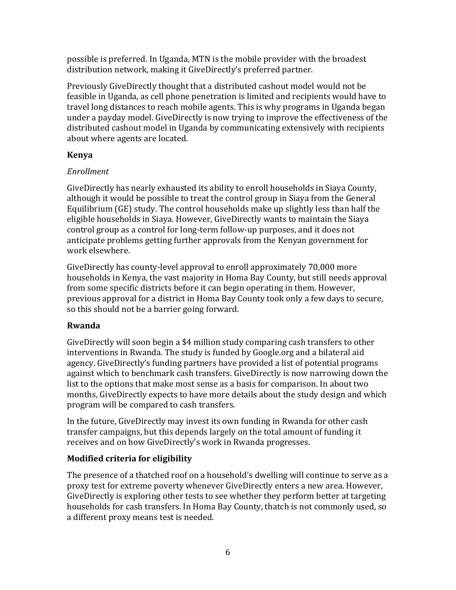possible is preferred. In Uganda, MTN is the mobile provider with the broadest distribution network, making it GiveDirectly's preferred partner.

Previously GiveDirectly thought that a distributed cashout model would not be feasible in Uganda, as cell phone penetration is limited and recipients would have to travel long distances to reach mobile agents. This is why programs in Uganda began under a payday model. GiveDirectly is now trying to improve the effectiveness of the distributed cashout model in Uganda by communicating extensively with recipients about where agents are located.

#### **Kenya**

### *Enrollment*

GiveDirectly has nearly exhausted its ability to enroll households in Siaya County, although it would be possible to treat the control group in Siaya from the General Equilibrium  $(GE)$  study. The control households make up slightly less than half the eligible households in Siaya. However, GiveDirectly wants to maintain the Siaya control group as a control for long-term follow-up purposes, and it does not anticipate problems getting further approvals from the Kenyan government for work elsewhere.

GiveDirectly has county-level approval to enroll approximately 70,000 more households in Kenya, the vast majority in Homa Bay County, but still needs approval from some specific districts before it can begin operating in them. However, previous approval for a district in Homa Bay County took only a few days to secure, so this should not be a barrier going forward.

# **Rwanda**

GiveDirectly will soon begin a \$4 million study comparing cash transfers to other interventions in Rwanda. The study is funded by Google.org and a bilateral aid agency. GiveDirectly's funding partners have provided a list of potential programs against which to benchmark cash transfers. GiveDirectly is now narrowing down the list to the options that make most sense as a basis for comparison. In about two months, GiveDirectly expects to have more details about the study design and which program will be compared to cash transfers.

In the future, GiveDirectly may invest its own funding in Rwanda for other cash transfer campaigns, but this depends largely on the total amount of funding it receives and on how GiveDirectly's work in Rwanda progresses.

# **Modified criteria for eligibility**

The presence of a thatched roof on a household's dwelling will continue to serve as a proxy test for extreme poverty whenever GiveDirectly enters a new area. However, GiveDirectly is exploring other tests to see whether they perform better at targeting households for cash transfers. In Homa Bay County, thatch is not commonly used, so a different proxy means test is needed.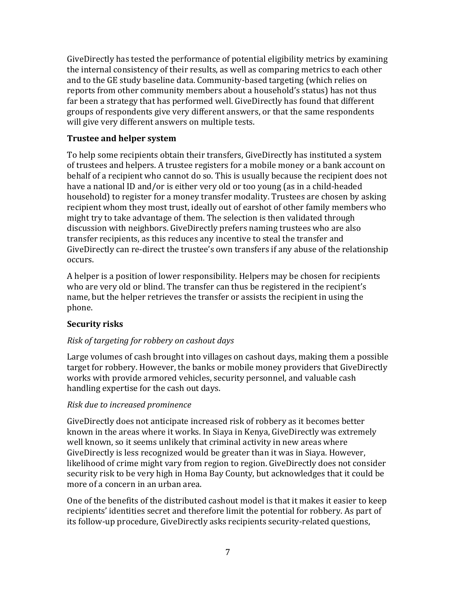GiveDirectly has tested the performance of potential eligibility metrics by examining the internal consistency of their results, as well as comparing metrics to each other and to the GE study baseline data. Community-based targeting (which relies on reports from other community members about a household's status) has not thus far been a strategy that has performed well. GiveDirectly has found that different groups of respondents give very different answers, or that the same respondents will give very different answers on multiple tests.

#### **Trustee and helper system**

To help some recipients obtain their transfers, GiveDirectly has instituted a system of trustees and helpers. A trustee registers for a mobile money or a bank account on behalf of a recipient who cannot do so. This is usually because the recipient does not have a national ID and/or is either very old or too young (as in a child-headed household) to register for a money transfer modality. Trustees are chosen by asking recipient whom they most trust, ideally out of earshot of other family members who might try to take advantage of them. The selection is then validated through discussion with neighbors. GiveDirectly prefers naming trustees who are also transfer recipients, as this reduces any incentive to steal the transfer and GiveDirectly can re-direct the trustee's own transfers if any abuse of the relationship occurs. 

A helper is a position of lower responsibility. Helpers may be chosen for recipients who are very old or blind. The transfer can thus be registered in the recipient's name, but the helper retrieves the transfer or assists the recipient in using the phone. 

#### **Security risks**

#### *Risk of targeting for robbery on cashout days*

Large volumes of cash brought into villages on cashout days, making them a possible target for robbery. However, the banks or mobile money providers that GiveDirectly works with provide armored vehicles, security personnel, and valuable cash handling expertise for the cash out days.

#### *Risk due to increased prominence*

GiveDirectly does not anticipate increased risk of robbery as it becomes better known in the areas where it works. In Siaya in Kenya, GiveDirectly was extremely well known, so it seems unlikely that criminal activity in new areas where GiveDirectly is less recognized would be greater than it was in Siaya. However, likelihood of crime might vary from region to region. GiveDirectly does not consider security risk to be very high in Homa Bay County, but acknowledges that it could be more of a concern in an urban area.

One of the benefits of the distributed cashout model is that it makes it easier to keep recipients' identities secret and therefore limit the potential for robbery. As part of its follow-up procedure, GiveDirectly asks recipients security-related questions,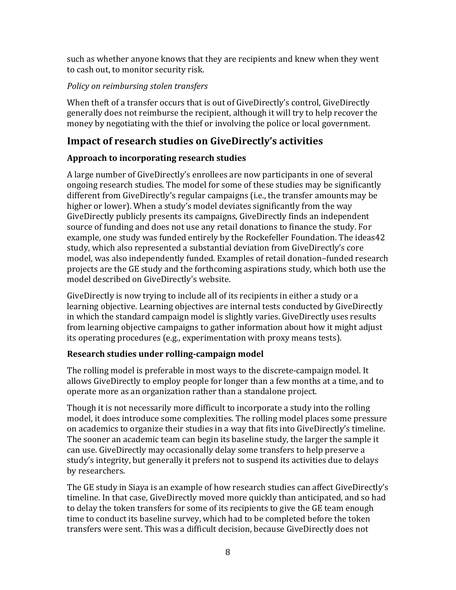such as whether anyone knows that they are recipients and knew when they went to cash out, to monitor security risk.

### *Policy on reimbursing stolen transfers*

When theft of a transfer occurs that is out of GiveDirectly's control, GiveDirectly generally does not reimburse the recipient, although it will try to help recover the money by negotiating with the thief or involving the police or local government.

# **Impact of research studies on GiveDirectly's activities**

### Approach to incorporating research studies

A large number of GiveDirectly's enrollees are now participants in one of several ongoing research studies. The model for some of these studies may be significantly different from GiveDirectly's regular campaigns (i.e., the transfer amounts may be higher or lower). When a study's model deviates significantly from the way GiveDirectly publicly presents its campaigns, GiveDirectly finds an independent source of funding and does not use any retail donations to finance the study. For example, one study was funded entirely by the Rockefeller Foundation. The ideas42 study, which also represented a substantial deviation from GiveDirectly's core model, was also independently funded. Examples of retail donation-funded research projects are the GE study and the forthcoming aspirations study, which both use the model described on GiveDirectly's website.

GiveDirectly is now trying to include all of its recipients in either a study or a learning objective. Learning objectives are internal tests conducted by GiveDirectly in which the standard campaign model is slightly varies. GiveDirectly uses results from learning objective campaigns to gather information about how it might adjust its operating procedures (e.g., experimentation with proxy means tests).

# **Research studies under rolling-campaign model**

The rolling model is preferable in most ways to the discrete-campaign model. It allows GiveDirectly to employ people for longer than a few months at a time, and to operate more as an organization rather than a standalone project.

Though it is not necessarily more difficult to incorporate a study into the rolling model, it does introduce some complexities. The rolling model places some pressure on academics to organize their studies in a way that fits into GiveDirectly's timeline. The sooner an academic team can begin its baseline study, the larger the sample it can use. GiveDirectly may occasionally delay some transfers to help preserve a study's integrity, but generally it prefers not to suspend its activities due to delays by researchers.

The GE study in Siaya is an example of how research studies can affect GiveDirectly's timeline. In that case, GiveDirectly moved more quickly than anticipated, and so had to delay the token transfers for some of its recipients to give the GE team enough time to conduct its baseline survey, which had to be completed before the token transfers were sent. This was a difficult decision, because GiveDirectly does not